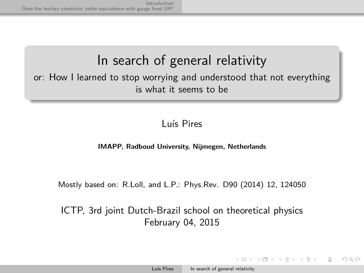# In search of general relativity

or: How I learned to stop worrying and understood that not everything is what it seems to be

#### Luís Pires

#### **IMAPP, Radboud University, Nijmegen, Netherlands**

Mostly based on: R.Loll, and L.P.: Phys.Rev. D90 (2014) 12, 124050

ICTP, 3rd joint Dutch-Brazil school on theoretical physics February 04, 2015

<span id="page-0-0"></span>A DIA KERA SERIKEN DIA KONA KIDA A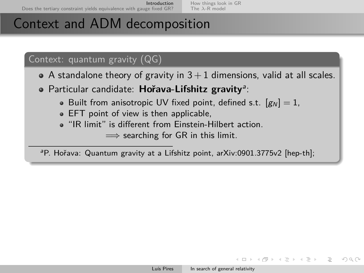# Context and ADM decomposition

### Context: quantum gravity (QG)

- $\bullet$  A standalone theory of gravity in  $3+1$  dimensions, valid at all scales.
- Particular candidate: Hořava-Lifshitz gravity<sup>a</sup>:
	- Built from anisotropic UV fixed point, defined s.t.  $[g_N] = 1$ ,
	- EFT point of view is then applicable,
	- "IR limit" is different from Einstein-Hilbert action.

 $\implies$  searching for GR in this limit.

<sup>a</sup>P. Hořava: Quantum gravity at a Lifshitz point, arXiv:0901.3775v2 [hep-th];

イロト イ押 トイヨ トイヨ トー

<span id="page-1-0"></span> $\equiv$   $\cap$  Q  $\cap$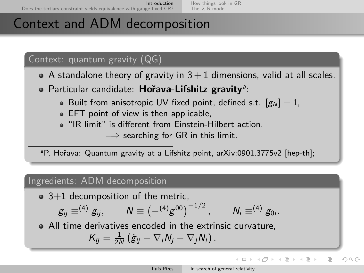# Context and ADM decomposition

### Context: quantum gravity (QG)

- $\bullet$  A standalone theory of gravity in  $3+1$  dimensions, valid at all scales.
- Particular candidate: Hořava-Lifshitz gravity<sup>a</sup>:
	- Built from anisotropic UV fixed point, defined s.t.  $[g_N] = 1$ ,
	- EFT point of view is then applicable,
	- "IR limit" is different from Einstein-Hilbert action.

 $\implies$  searching for GR in this limit.

<sup>a</sup>P. Hořava: Quantum gravity at a Lifshitz point, arXiv:0901.3775v2 [hep-th];

#### Ingredients: ADM decomposition

 $\bullet$  3+1 decomposition of the metric,

$$
g_{ij} \equiv^{(4)} g_{ij}, \qquad N \equiv \left(-^{(4)} g^{00}\right)^{-1/2}, \qquad N_i \equiv^{(4)} g_{0i}.
$$

All time derivatives encoded in the extrinsic curvature,

$$
K_{ij}=\tfrac{1}{2N}(\dot{g}_{ij}-\nabla_iN_j-\nabla_jN_i).
$$

イロト イ押 トイヨ トイヨト

 $\equiv$ 

 $\Omega$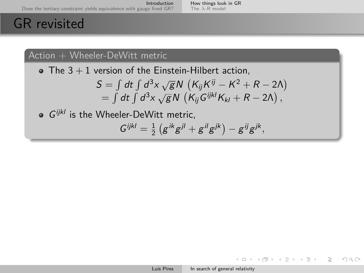### GR revisited

### $Action + Wheeler-DeWitt metric$

 $\bullet$  The 3 + 1 version of the Einstein-Hilbert action,

$$
S = \int dt \int d^3x \sqrt{g} N (K_{ij} K^{ij} - K^2 + R - 2\Lambda)
$$
  
=  $\int dt \int d^3x \sqrt{g} N (K_{ij} G^{ijkl} K_{kl} + R - 2\Lambda),$ 

 $G^{ijkl}$  is the Wheeler-DeWitt metric,

$$
G^{ijkl}=\frac{1}{2}\left(g^{ik}g^{jl}+g^{il}g^{jk}\right)-g^{ij}g^{jk},
$$

イロト イ押 トイヨ トイヨ トー

<span id="page-3-0"></span> $\equiv$   $\curvearrowleft$  a  $\curvearrowright$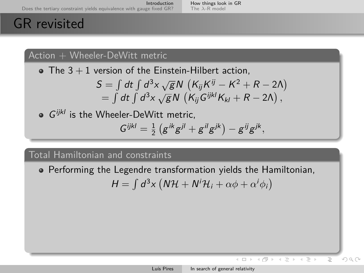## GR revisited

#### $Action + Wheeler-DeWitt metric$

 $\bullet$  The 3 + 1 version of the Einstein-Hilbert action.

$$
S = \int dt \int d^3x \sqrt{g} N (K_{ij} K^{ij} - K^2 + R - 2\Lambda)
$$
  
=  $\int dt \int d^3x \sqrt{g} N (K_{ij} G^{ijkl} K_{kl} + R - 2\Lambda),$ 

 $G^{ijkl}$  is the Wheeler-DeWitt metric,  $G^{ijkl} = \frac{1}{2} (g^{ik}g^{jl} + g^{il}g^{jk}) - g^{ij}g^{jk},$ 

### Total Hamiltonian and constraints

Performing the Legendre transformation yields the Hamiltonian,

$$
H = \int d^3x \left( N \mathcal{H} + N^i \mathcal{H}_i + \alpha \phi + \alpha^i \phi_i \right)
$$

 $\leftarrow$ 

 $\rightarrow$ 

 $OQ$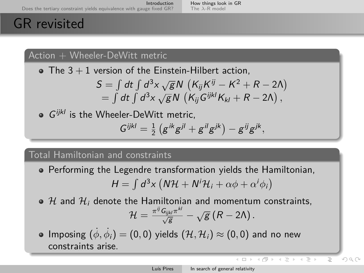#### [How things look in GR](#page-3-0) The *λ*[-R model](#page-6-0)

# GR revisited

### $Action + Wheeler-DeWitt metric$

 $\bullet$  The 3 + 1 version of the Einstein-Hilbert action.

$$
S = \int dt \int d^3x \sqrt{g} N (K_{ij} K^{ij} - K^2 + R - 2\Lambda)
$$
  
=  $\int dt \int d^3x \sqrt{g} N (K_{ij} G^{ijkl} K_{kl} + R - 2\Lambda),$ 

 $G^{ijkl}$  is the Wheeler-DeWitt metric,  $G^{ijkl} = \frac{1}{2} (g^{ik}g^{jl} + g^{il}g^{jk}) - g^{ij}g^{jk},$ 

### Total Hamiltonian and constraints

Performing the Legendre transformation yields the Hamiltonian,

$$
H = \int d^3x \left( N \mathcal{H} + N^i \mathcal{H}_i + \alpha \phi + \alpha^i \phi_i \right)
$$

- $\bullet$  H and H<sub>i</sub> denote the Hamiltonian and momentum constraints,  $\mathcal{H} = \frac{\pi^{ij} \mathsf{G}_{ijkl} \pi^{kl}}{\sqrt{\mathsf{g}}} - \sqrt{\mathsf{g}} \left( \mathsf{R} - 2 \mathsf{\Lambda} \right).$
- $\mathsf{Imposing}\,\,(\dot{\phi},\dot{\phi_i})=(0,0)$  yields  $(\mathcal{H},\mathcal{H}_i)\approx(0,0)$  and no new constraints arise.

<span id="page-5-0"></span> $OQ$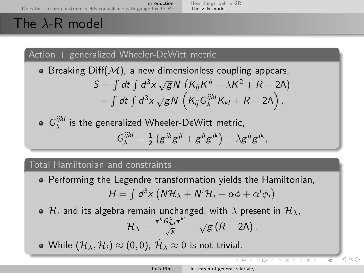[How things look in GR](#page-3-0) The *λ*[-R model](#page-6-0)

# The *λ*-R model

 $Action + generalized Wheeler-DeWitt metric$ 

Breaking Diff(M), a new dimensionless coupling appears,<br> $\begin{pmatrix} 1 & 1 & 1 \\ 1 & 1 & 1 \end{pmatrix}$   $\begin{pmatrix} 2 & \cdots & 1 \\ 1 & 1 & 1 \end{pmatrix}$   $\begin{pmatrix} 2 & \cdots & 2 \\ 1 & 1 & 1 \end{pmatrix}$ 

$$
S = \int dt \int d^3x \sqrt{g} N (K_{ij} K^{ij} - \lambda K^2 + R - 2\Lambda)
$$
  
= 
$$
\int dt \int d^3x \sqrt{g} N (K_{ij} G_{\lambda}^{ijkl} K_{kl} + R - 2\Lambda),
$$

 $G_{\lambda}^{ijkl}$  is the generalized Wheeler-DeWitt metric,

$$
G^{ijkl}_\lambda = \tfrac{1}{2}\left(g^{ik}g^{jl} + g^{il}g^{jk}\right) - \lambda g^{ij}g^{jk},
$$

### Total Hamiltonian and constraints

- Performing the Legendre transformation yields the Hamiltonian,  $H = \int d^3x \left( N \mathcal{H}_{\lambda} + N^i \mathcal{H}_i + \alpha \phi + \alpha^i \phi_i \right)$
- $\Theta$  H<sub>i</sub> and its algebra remain unchanged, with  $\lambda$  present in  $\mathcal{H}_{\lambda}$ ,  $\mathcal{H}_\lambda = \frac{\pi^{ij} \mathsf{G}_{ijkl}^{\lambda} \pi^{kl}}{\sqrt{\mathsf{g}}}-\sqrt{\mathsf{g}}\left(R-2\mathsf{\Lambda}\right).$

While  $(\mathcal{H}_\lambda, \mathcal{H}_i) \approx (0,0)$ ,  $\dot{\mathcal{H}}_\lambda \approx 0$  is not trivial.

C PW P

<span id="page-6-0"></span> $\Omega$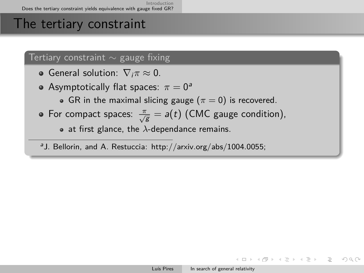### The tertiary constraint

#### Tertiary constraint  $\sim$  gauge fixing

- **•** General solution:  $\nabla_i \pi ≈ 0$ .
- Asymptotically flat spaces:  $\pi = 0^a$ 
	- GR in the maximal slicing gauge  $(\pi = 0)$  is recovered.
- For compact spaces:  $\frac{\pi}{\sqrt{g}} = a(t)$  (CMC gauge condition),  $\bullet$  at first glance, the  $\lambda$ -dependance remains.

<sup>a</sup>J. Bellorin, and A. Restuccia: http://arxiv.org/abs/1004.0055;

イロト イ団 トイモト イモト

<span id="page-7-0"></span> $\equiv$   $\curvearrowleft$  a  $\curvearrowright$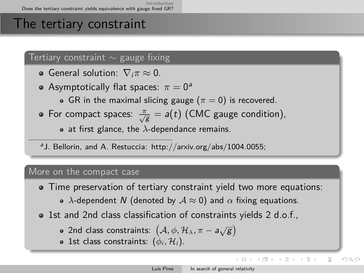## The tertiary constraint

#### Tertiary constraint  $\sim$  gauge fixing

- **•** General solution:  $\nabla_i \pi ≈ 0$ .
- Asymptotically flat spaces:  $\pi = 0^a$ 
	- GR in the maximal slicing gauge  $(\pi = 0)$  is recovered.
- For compact spaces:  $\frac{\pi}{\sqrt{g}} = a(t)$  (CMC gauge condition),  $\bullet$  at first glance, the  $\lambda$ -dependance remains.

<sup>a</sup>J. Bellorin, and A. Restuccia: http://arxiv.org/abs/1004.0055;

#### More on the compact case

- Time preservation of tertiary constraint yield two more equations:
	- **•**  $\lambda$ -dependent N (denoted by  $A \approx 0$ ) and  $\alpha$  fixing equations.
- 1st and 2nd class classification of constraints yields 2 d.o.f.,
	- 2nd class constraints:  $(A, \phi, \mathcal{H}_\lambda, \pi a\sqrt{g})$
	- 1st class constraints:  $(\phi_i, \mathcal{H}_i)$ .

イロト イ押 トイヨ トイヨト

<span id="page-8-0"></span> $OQ$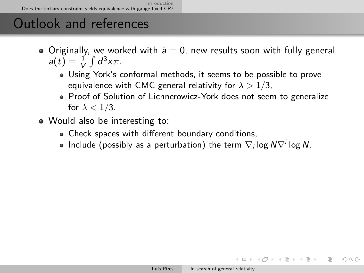## Outlook and references

- $\bullet$  Originally, we worked with  $\dot{a}=0$ , new results soon with fully general  $a(t) = \frac{1}{V} \int d^3x \pi$ .
	- Using York's conformal methods, it seems to be possible to prove equivalence with CMC general relativity for *λ >* 1*/*3,
	- Proof of Solution of Lichnerowicz-York does not seem to generalize for  $\lambda < 1/3$ .
- Would also be interesting to:
	- Check spaces with different boundary conditions,
	- Include (possibly as a perturbation) the term  $\nabla_i \log N \nabla^i \log N$ .

<span id="page-9-0"></span>イロト イ団 トイミト イミト・ミー りんぐ